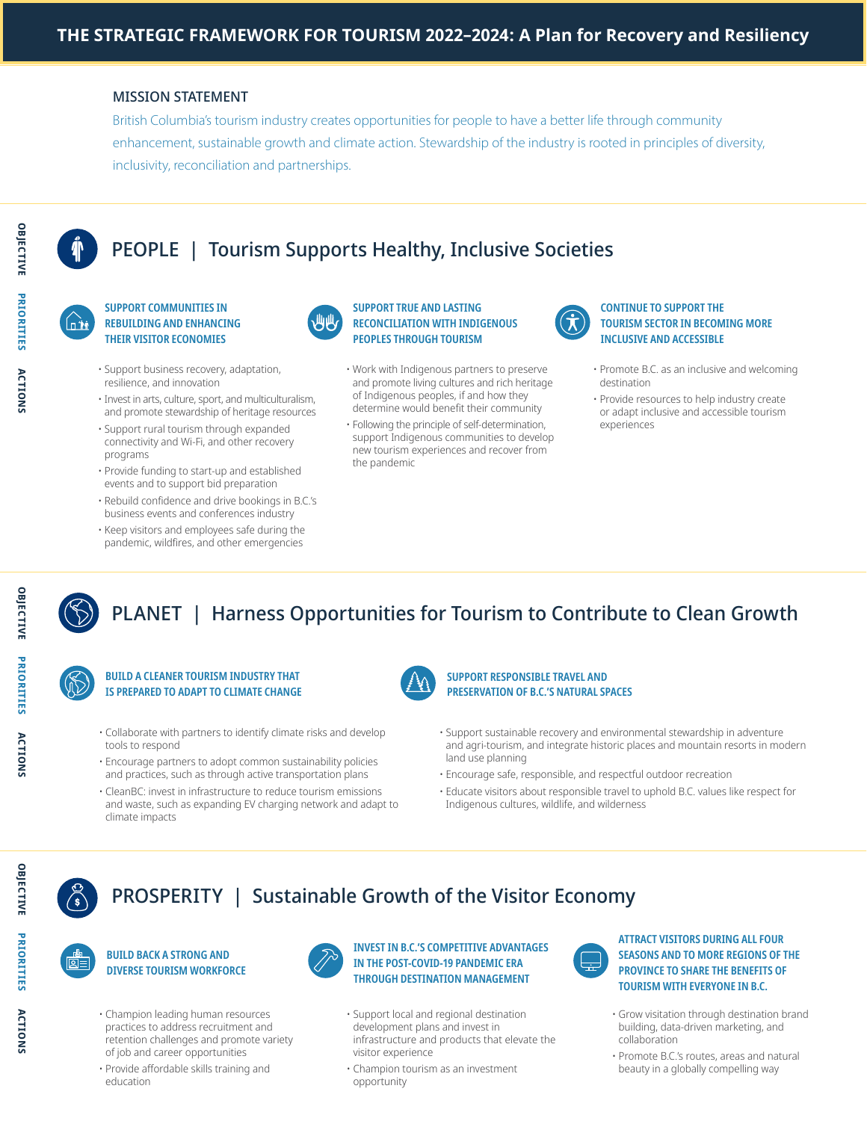### MISSION STATEMENT

British Columbia's tourism industry creates opportunities for people to have a better life through community enhancement, sustainable growth and climate action. Stewardship of the industry is rooted in principles of diversity, inclusivity, reconciliation and partnerships.

# PEOPLE | Tourism Supports Healthy, Inclusive Societies



OBJECTIVE

PRIORITIES

**ACTIONS** 

**OBJECTIVE** 

#### SUPPORT COMMUNITIES IN REBUILDING AND ENHANCING THEIR VISITOR ECONOMIES

- Support business recovery, adaptation, resilience, and innovation
- Invest in arts, culture, sport, and multiculturalism, and promote stewardship of heritage resources
- Support rural tourism through expanded connectivity and Wi-Fi, and other recovery programs
- Provide funding to start-up and established events and to support bid preparation
- Rebuild confidence and drive bookings in B.C.'s business events and conferences industry
- Keep visitors and employees safe during the pandemic, wildfires, and other emergencies



#### SUPPORT TRUE AND LASTING RECONCILIATION WITH INDIGENOUS PEOPLES THROUGH TOURISM

- Work with Indigenous partners to preserve and promote living cultures and rich heritage of Indigenous peoples, if and how they determine would benefit their community
- Following the principle of self-determination, support Indigenous communities to develop new tourism experiences and recover from the pandemic



#### CONTINUE TO SUPPORT THE TOURISM SECTOR IN BECOMING MORE INCLUSIVE AND ACCESSIBLE

- Promote B.C. as an inclusive and welcoming destination
- Provide resources to help industry create or adapt inclusive and accessible tourism experiences



# PLANET | Harness Opportunities for Tourism to Contribute to Clean Growth



### BUILD A CLEANER TOURISM INDUSTRY THAT IS PREPARED TO ADAPT TO CLIMATE CHANGE

- Collaborate with partners to identify climate risks and develop tools to respond
- Encourage partners to adopt common sustainability policies and practices, such as through active transportation plans
- CleanBC: invest in infrastructure to reduce tourism emissions and waste, such as expanding EV charging network and adapt to climate impacts



#### SUPPORT RESPONSIBLE TRAVEL AND PRESERVATION OF B.C.'S NATURAL SPACES

- Support sustainable recovery and environmental stewardship in adventure and agri-tourism, and integrate historic places and mountain resorts in modern land use planning
- Encourage safe, responsible, and respectful outdoor recreation
- Educate visitors about responsible travel to uphold B.C. values like respect for Indigenous cultures, wildlife, and wilderness

# PROSPERITY | Sustainable Growth of the Visitor Economy



ACTIONS

**ACTIONS** 

**PRIORITIES** 

OBJECTIVE

#### BUILD BACK A STRONG AND DIVERSE TOURISM WORKFORCE

- Champion leading human resources practices to address recruitment and retention challenges and promote variety of job and career opportunities
- Provide affordable skills training and education



#### INVEST IN B.C.'S COMPETITIVE ADVANTAGES IN THE POST-COVID-19 PANDEMIC ERA THROUGH DESTINATION MANAGEMENT

- Support local and regional destination development plans and invest in infrastructure and products that elevate the visitor experience
- Champion tourism as an investment opportunity



#### ATTRACT VISITORS DURING ALL FOUR SEASONS AND TO MORE REGIONS OF THE PROVINCE TO SHARE THE BENEFITS OF TOURISM WITH EVERYONE IN B.C.

- Grow visitation through destination brand building, data-driven marketing, and collaboration
- Promote B.C.'s routes, areas and natural beauty in a globally compelling way